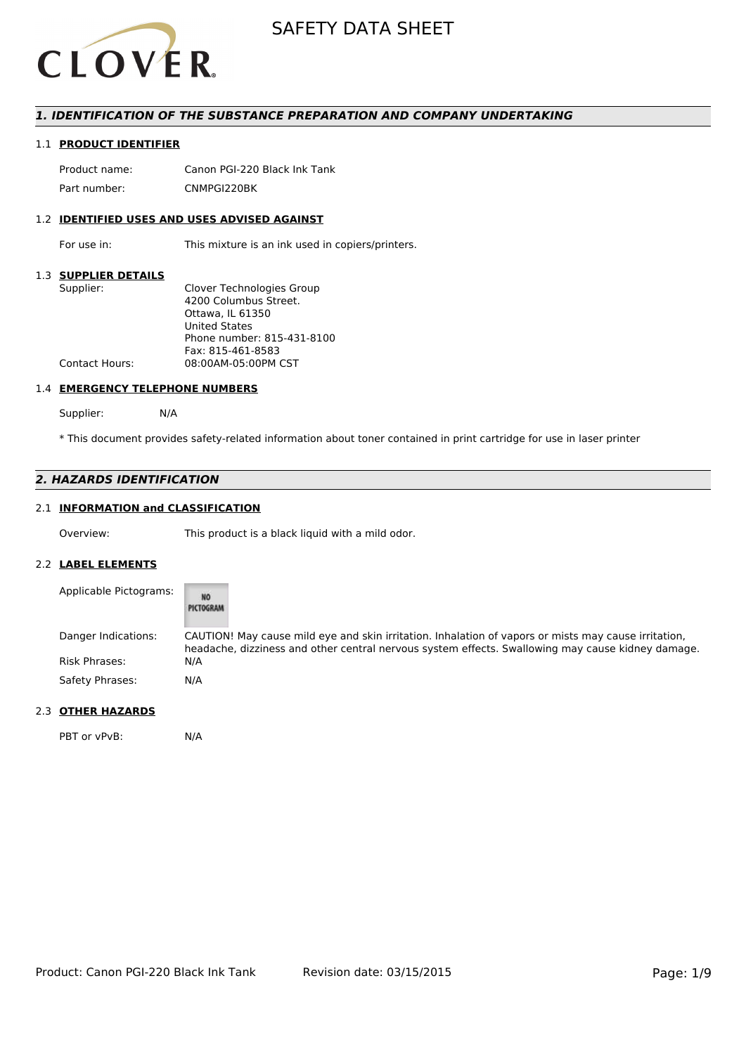

## *1. IDENTIFICATION OF THE SUBSTANCE PREPARATION AND COMPANY UNDERTAKING*

## 1.1 **PRODUCT IDENTIFIER**

Product name: Canon PGI-220 Black Ink Tank Part number: CNMPGI220BK

## 1.2 **IDENTIFIED USES AND USES ADVISED AGAINST**

For use in: This mixture is an ink used in copiers/printers.

#### 1.3 **SUPPLIER DETAILS**

| Supplier:             | Clover Technologies Group  |
|-----------------------|----------------------------|
|                       | 4200 Columbus Street.      |
|                       | Ottawa. IL 61350           |
|                       | <b>United States</b>       |
|                       | Phone number: 815-431-8100 |
|                       | Fax: 815-461-8583          |
| <b>Contact Hours:</b> | 08:00AM-05:00PM CST        |
|                       |                            |

#### 1.4 **EMERGENCY TELEPHONE NUMBERS**

Supplier: N/A

\* This document provides safety-related information about toner contained in print cartridge for use in laser printer

# *2. HAZARDS IDENTIFICATION*

# 2.1 **INFORMATION and CLASSIFICATION**

Overview: This product is a black liquid with a mild odor.

#### 2.2 **LABEL ELEMENTS**

| Applicable Pictograms: | NŌ<br>PICTOGRAM                                                                                                                                                                                           |
|------------------------|-----------------------------------------------------------------------------------------------------------------------------------------------------------------------------------------------------------|
| Danger Indications:    | CAUTION! May cause mild eye and skin irritation. Inhalation of vapors or mists may cause irritation,<br>headache, dizziness and other central nervous system effects. Swallowing may cause kidney damage. |
| <b>Risk Phrases:</b>   | N/A                                                                                                                                                                                                       |
| Safety Phrases:        | N/A                                                                                                                                                                                                       |

# 2.3 **OTHER HAZARDS**

PBT or vPvB: N/A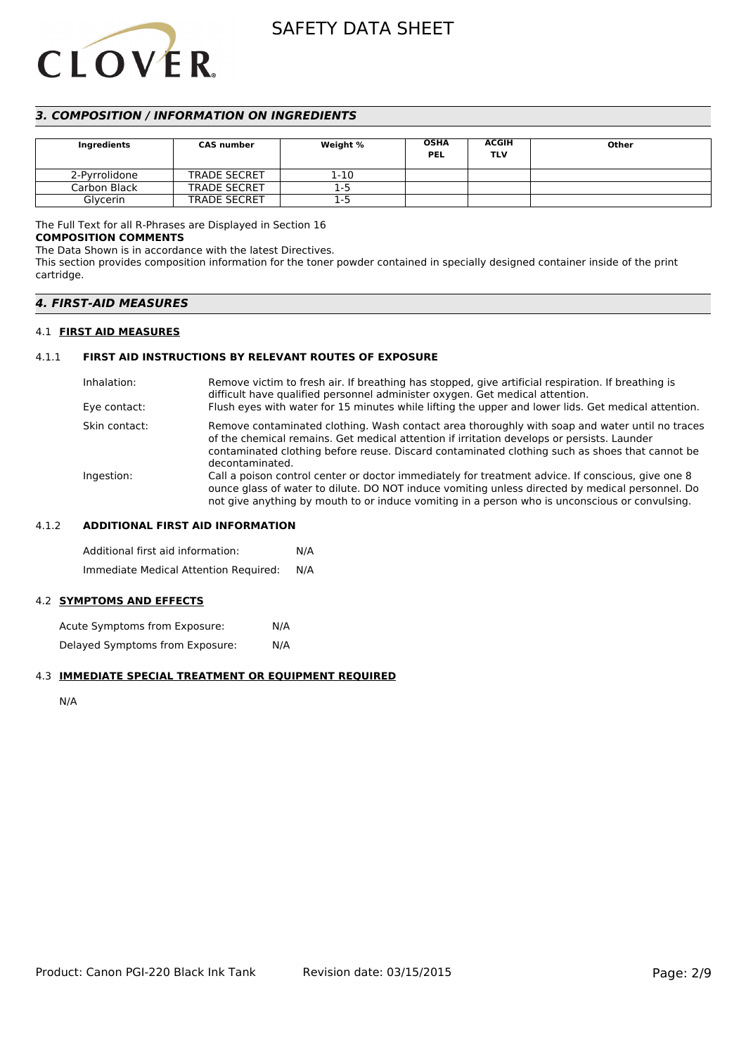# **CLOVER**

# SAFETY DATA SHEET

# *3. COMPOSITION / INFORMATION ON INGREDIENTS*

| Ingredients   | <b>CAS number</b>   | Weight % | <b>OSHA</b><br><b>PEL</b> | <b>ACGIH</b><br>TLV | Other |
|---------------|---------------------|----------|---------------------------|---------------------|-------|
| 2-Pyrrolidone | <b>TRADE SECRET</b> | 1-10     |                           |                     |       |
| Carbon Black  | <b>TRADE SECRET</b> | 1-5      |                           |                     |       |
| Glvcerin      | <b>TRADE SECRET</b> | 1-5      |                           |                     |       |

# The Full Text for all R-Phrases are Displayed in Section 16

#### **COMPOSITION COMMENTS**

The Data Shown is in accordance with the latest Directives.

This section provides composition information for the toner powder contained in specially designed container inside of the print cartridge.

# *4. FIRST-AID MEASURES*

## 4.1 **FIRST AID MEASURES**

# 4.1.1 **FIRST AID INSTRUCTIONS BY RELEVANT ROUTES OF EXPOSURE**

| Inhalation:   | Remove victim to fresh air. If breathing has stopped, give artificial respiration. If breathing is<br>difficult have qualified personnel administer oxygen. Get medical attention.                                                                                                                                |
|---------------|-------------------------------------------------------------------------------------------------------------------------------------------------------------------------------------------------------------------------------------------------------------------------------------------------------------------|
| Eye contact:  | Flush eyes with water for 15 minutes while lifting the upper and lower lids. Get medical attention.                                                                                                                                                                                                               |
| Skin contact: | Remove contaminated clothing. Wash contact area thoroughly with soap and water until no traces<br>of the chemical remains. Get medical attention if irritation develops or persists. Launder<br>contaminated clothing before reuse. Discard contaminated clothing such as shoes that cannot be<br>decontaminated. |
| Ingestion:    | Call a poison control center or doctor immediately for treatment advice. If conscious, give one 8<br>ounce glass of water to dilute. DO NOT induce vomiting unless directed by medical personnel. Do<br>not give anything by mouth to or induce vomiting in a person who is unconscious or convulsing.            |

## 4.1.2 **ADDITIONAL FIRST AID INFORMATION**

Additional first aid information: N/A Immediate Medical Attention Required: N/A

# 4.2 **SYMPTOMS AND EFFECTS**

Acute Symptoms from Exposure: N/A Delayed Symptoms from Exposure: N/A

# 4.3 **IMMEDIATE SPECIAL TREATMENT OR EQUIPMENT REQUIRED**

N/A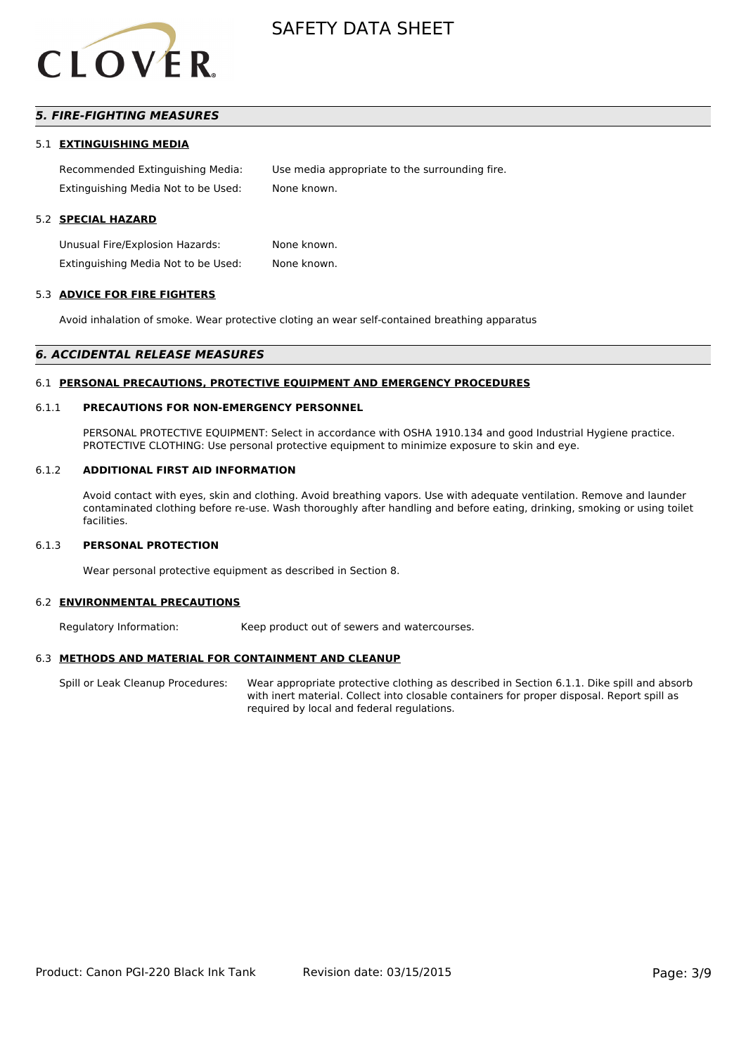

# *5. FIRE-FIGHTING MEASURES*

#### 5.1 **EXTINGUISHING MEDIA**

Recommended Extinguishing Media: Use media appropriate to the surrounding fire. Extinguishing Media Not to be Used: None known.

#### 5.2 **SPECIAL HAZARD**

Unusual Fire/Explosion Hazards: None known. Extinguishing Media Not to be Used: None known.

#### 5.3 **ADVICE FOR FIRE FIGHTERS**

Avoid inhalation of smoke. Wear protective cloting an wear self-contained breathing apparatus

#### *6. ACCIDENTAL RELEASE MEASURES*

#### 6.1 **PERSONAL PRECAUTIONS, PROTECTIVE EQUIPMENT AND EMERGENCY PROCEDURES**

#### 6.1.1 **PRECAUTIONS FOR NON-EMERGENCY PERSONNEL**

PERSONAL PROTECTIVE EQUIPMENT: Select in accordance with OSHA 1910.134 and good Industrial Hygiene practice. PROTECTIVE CLOTHING: Use personal protective equipment to minimize exposure to skin and eye.

#### 6.1.2 **ADDITIONAL FIRST AID INFORMATION**

Avoid contact with eyes, skin and clothing. Avoid breathing vapors. Use with adequate ventilation. Remove and launder contaminated clothing before re-use. Wash thoroughly after handling and before eating, drinking, smoking or using toilet facilities.

#### 6.1.3 **PERSONAL PROTECTION**

Wear personal protective equipment as described in Section 8.

#### 6.2 **ENVIRONMENTAL PRECAUTIONS**

Regulatory Information: Keep product out of sewers and watercourses.

#### 6.3 **METHODS AND MATERIAL FOR CONTAINMENT AND CLEANUP**

Spill or Leak Cleanup Procedures: Wear appropriate protective clothing as described in Section 6.1.1. Dike spill and absorb with inert material. Collect into closable containers for proper disposal. Report spill as required by local and federal regulations.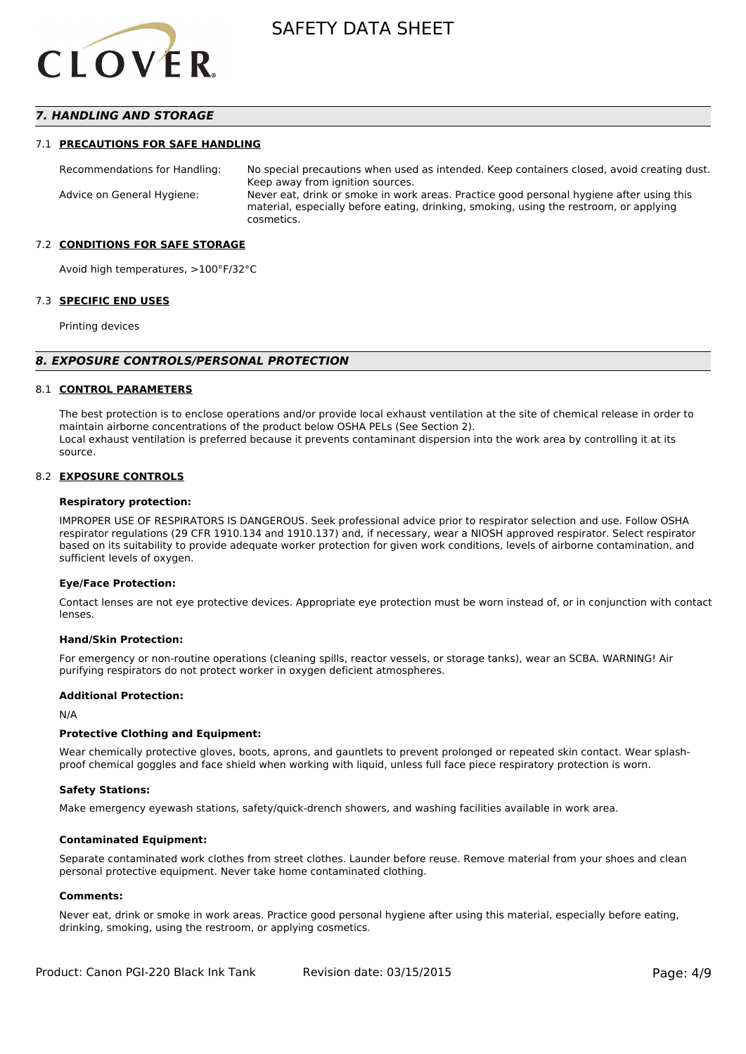

## *7. HANDLING AND STORAGE*

#### 7.1 **PRECAUTIONS FOR SAFE HANDLING**

Recommendations for Handling: No special precautions when used as intended. Keep containers closed, avoid creating dust. Keep away from ignition sources. Advice on General Hygiene: Never eat, drink or smoke in work areas. Practice good personal hygiene after using this material, especially before eating, drinking, smoking, using the restroom, or applying cosmetics.

#### 7.2 **CONDITIONS FOR SAFE STORAGE**

Avoid high temperatures, >100°F/32°C

#### 7.3 **SPECIFIC END USES**

Printing devices

#### *8. EXPOSURE CONTROLS/PERSONAL PROTECTION*

#### 8.1 **CONTROL PARAMETERS**

The best protection is to enclose operations and/or provide local exhaust ventilation at the site of chemical release in order to maintain airborne concentrations of the product below OSHA PELs (See Section 2). Local exhaust ventilation is preferred because it prevents contaminant dispersion into the work area by controlling it at its source.

#### 8.2 **EXPOSURE CONTROLS**

#### **Respiratory protection:**

IMPROPER USE OF RESPIRATORS IS DANGEROUS. Seek professional advice prior to respirator selection and use. Follow OSHA respirator regulations (29 CFR 1910.134 and 1910.137) and, if necessary, wear a NIOSH approved respirator. Select respirator based on its suitability to provide adequate worker protection for given work conditions, levels of airborne contamination, and sufficient levels of oxygen.

#### **Eye/Face Protection:**

Contact lenses are not eye protective devices. Appropriate eye protection must be worn instead of, or in conjunction with contact lenses.

#### **Hand/Skin Protection:**

For emergency or non-routine operations (cleaning spills, reactor vessels, or storage tanks), wear an SCBA. WARNING! Air purifying respirators do not protect worker in oxygen deficient atmospheres.

#### **Additional Protection:**

N/A

#### **Protective Clothing and Equipment:**

Wear chemically protective gloves, boots, aprons, and gauntlets to prevent prolonged or repeated skin contact. Wear splashproof chemical goggles and face shield when working with liquid, unless full face piece respiratory protection is worn.

#### **Safety Stations:**

Make emergency eyewash stations, safety/quick-drench showers, and washing facilities available in work area.

#### **Contaminated Equipment:**

Separate contaminated work clothes from street clothes. Launder before reuse. Remove material from your shoes and clean personal protective equipment. Never take home contaminated clothing.

#### **Comments:**

Never eat, drink or smoke in work areas. Practice good personal hygiene after using this material, especially before eating, drinking, smoking, using the restroom, or applying cosmetics.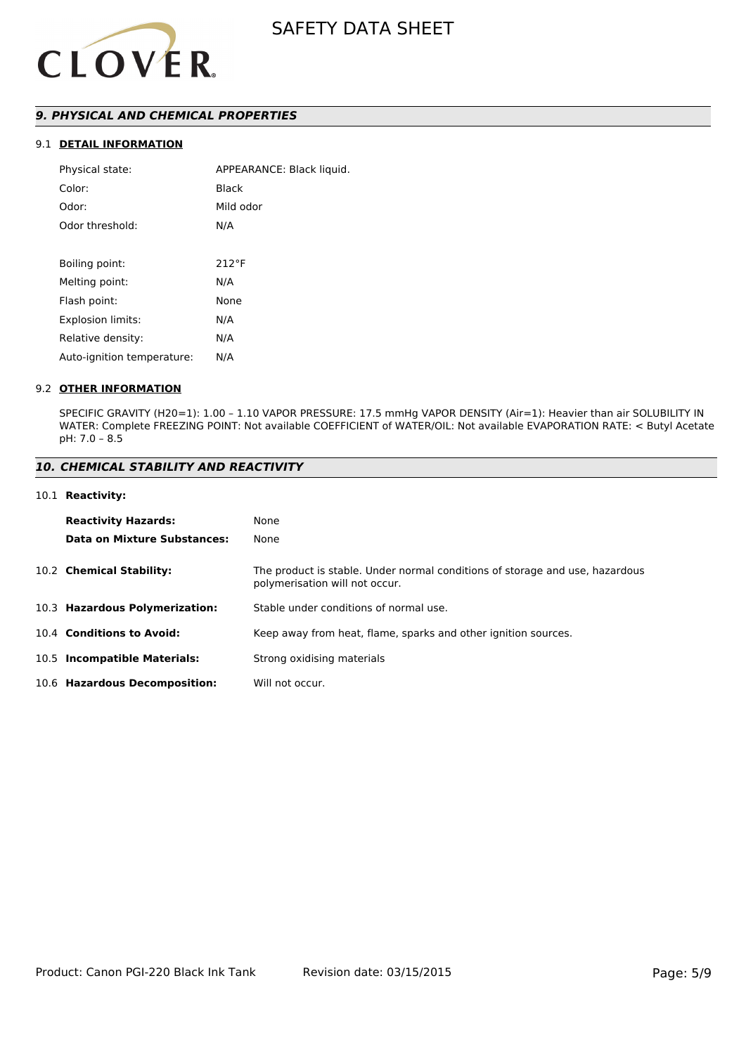

# *9. PHYSICAL AND CHEMICAL PROPERTIES*

# 9.1 **DETAIL INFORMATION**

| Physical state:            | APPEARANCE: Black liquid. |
|----------------------------|---------------------------|
| Color:                     | Black                     |
| Odor:                      | Mild odor                 |
| Odor threshold:            | N/A                       |
|                            |                           |
| Boiling point:             | $212^{\circ}F$            |
| Melting point:             | N/A                       |
| Flash point:               | None                      |
| <b>Explosion limits:</b>   | N/A                       |
| Relative density:          | N/A                       |
| Auto-ignition temperature: | N/A                       |
|                            |                           |

#### 9.2 **OTHER INFORMATION**

SPECIFIC GRAVITY (H20=1): 1.00 – 1.10 VAPOR PRESSURE: 17.5 mmHg VAPOR DENSITY (Air=1): Heavier than air SOLUBILITY IN WATER: Complete FREEZING POINT: Not available COEFFICIENT of WATER/OIL: Not available EVAPORATION RATE: < Butyl Acetate pH: 7.0 – 8.5

# *10. CHEMICAL STABILITY AND REACTIVITY*

#### 10.1 **Reactivity:**

| <b>Reactivity Hazards:</b>     | None                                                                                                           |
|--------------------------------|----------------------------------------------------------------------------------------------------------------|
| Data on Mixture Substances:    | None                                                                                                           |
| 10.2 Chemical Stability:       | The product is stable. Under normal conditions of storage and use, hazardous<br>polymerisation will not occur. |
| 10.3 Hazardous Polymerization: | Stable under conditions of normal use.                                                                         |
| 10.4 Conditions to Avoid:      | Keep away from heat, flame, sparks and other ignition sources.                                                 |
| 10.5 Incompatible Materials:   | Strong oxidising materials                                                                                     |
| 10.6 Hazardous Decomposition:  | Will not occur.                                                                                                |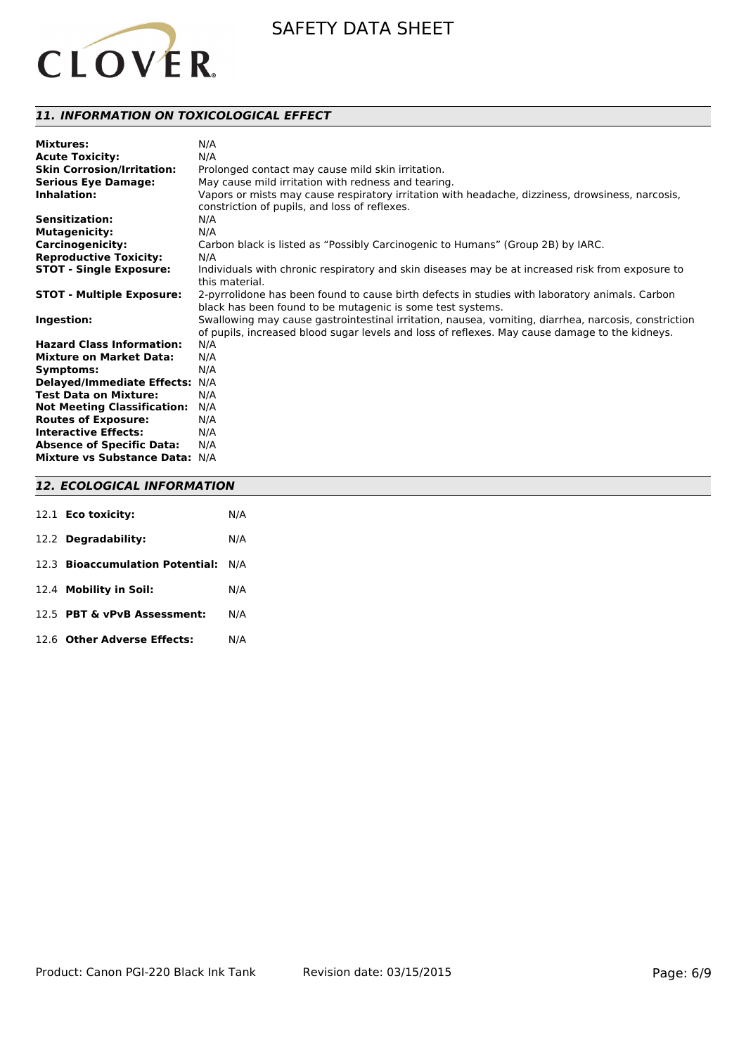

# *11. INFORMATION ON TOXICOLOGICAL EFFECT*

| <b>Mixtures:</b>                   | N/A                                                                                                  |
|------------------------------------|------------------------------------------------------------------------------------------------------|
| <b>Acute Toxicity:</b>             | N/A                                                                                                  |
| <b>Skin Corrosion/Irritation:</b>  | Prolonged contact may cause mild skin irritation.                                                    |
| <b>Serious Eye Damage:</b>         | May cause mild irritation with redness and tearing.                                                  |
| Inhalation:                        | Vapors or mists may cause respiratory irritation with headache, dizziness, drowsiness, narcosis,     |
|                                    | constriction of pupils, and loss of reflexes.                                                        |
| Sensitization:                     | N/A                                                                                                  |
| <b>Mutagenicity:</b>               | N/A                                                                                                  |
| <b>Carcinogenicity:</b>            | Carbon black is listed as "Possibly Carcinogenic to Humans" (Group 2B) by IARC.                      |
| <b>Reproductive Toxicity:</b>      | N/A                                                                                                  |
| <b>STOT - Single Exposure:</b>     | Individuals with chronic respiratory and skin diseases may be at increased risk from exposure to     |
|                                    | this material.                                                                                       |
| <b>STOT - Multiple Exposure:</b>   | 2-pyrrolidone has been found to cause birth defects in studies with laboratory animals. Carbon       |
|                                    | black has been found to be mutagenic is some test systems.                                           |
| Ingestion:                         | Swallowing may cause gastrointestinal irritation, nausea, vomiting, diarrhea, narcosis, constriction |
|                                    | of pupils, increased blood sugar levels and loss of reflexes. May cause damage to the kidneys.       |
| <b>Hazard Class Information:</b>   | N/A                                                                                                  |
| <b>Mixture on Market Data:</b>     | N/A                                                                                                  |
| Symptoms:                          | N/A                                                                                                  |
| <b>Delayed/Immediate Effects:</b>  | N/A                                                                                                  |
| <b>Test Data on Mixture:</b>       | N/A                                                                                                  |
| <b>Not Meeting Classification:</b> | N/A                                                                                                  |
| <b>Routes of Exposure:</b>         | N/A                                                                                                  |
| <b>Interactive Effects:</b>        | N/A                                                                                                  |
| <b>Absence of Specific Data:</b>   | N/A                                                                                                  |
| Mixture vs Substance Data: N/A     |                                                                                                      |
|                                    |                                                                                                      |

# *12. ECOLOGICAL INFORMATION*

| 12.1 <b>Eco toxicity:</b>           | N/A |
|-------------------------------------|-----|
| 12.2 Degradability:                 | N/A |
| 12.3 Bioaccumulation Potential: N/A |     |
| 12.4 Mobility in Soil:              | N/A |
| 12.5 PBT & vPvB Assessment:         | N/A |
| 12.6 Other Adverse Effects:         | N/A |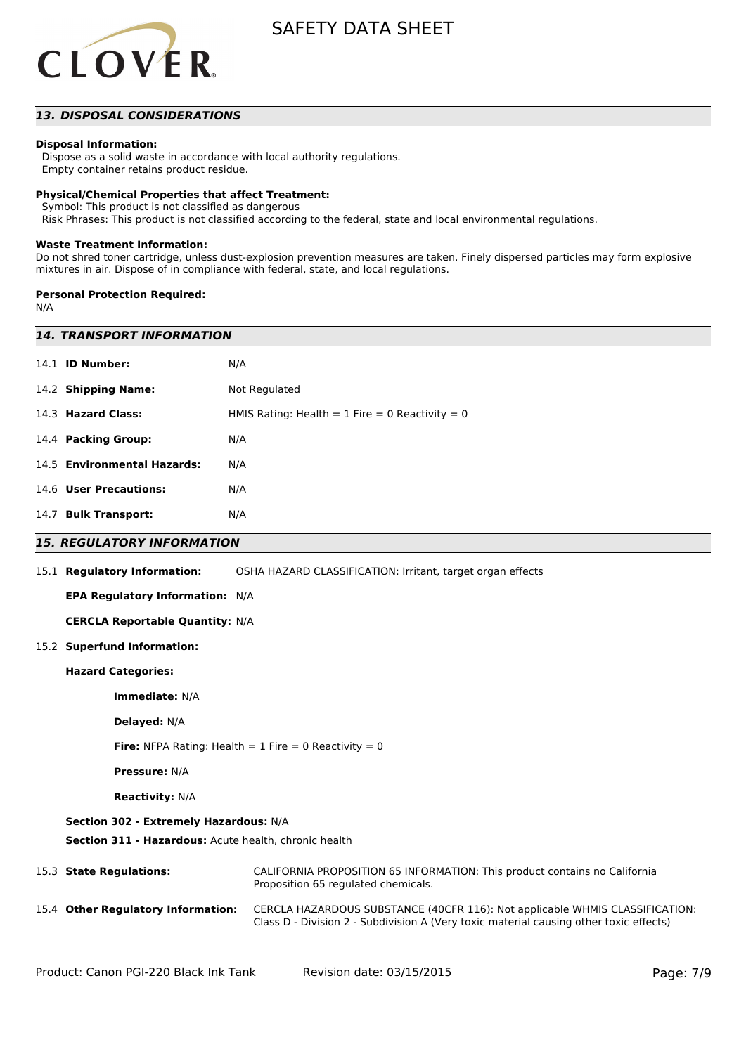

# *13. DISPOSAL CONSIDERATIONS*

## **Disposal Information:**

 Dispose as a solid waste in accordance with local authority regulations. Empty container retains product residue.

#### **Physical/Chemical Properties that affect Treatment:**

Symbol: This product is not classified as dangerous

Risk Phrases: This product is not classified according to the federal, state and local environmental regulations.

#### **Waste Treatment Information:**

Do not shred toner cartridge, unless dust-explosion prevention measures are taken. Finely dispersed particles may form explosive mixtures in air. Dispose of in compliance with federal, state, and local regulations.

#### **Personal Protection Required:**

N/A

| <b>14. TRANSPORT INFORMATION</b>                        |                                                                                                                                                                        |  |  |
|---------------------------------------------------------|------------------------------------------------------------------------------------------------------------------------------------------------------------------------|--|--|
| 14.1 <b>ID Number:</b>                                  | N/A                                                                                                                                                                    |  |  |
| 14.2 Shipping Name:                                     | Not Regulated                                                                                                                                                          |  |  |
| 14.3 Hazard Class:                                      | HMIS Rating: Health = $1$ Fire = 0 Reactivity = 0                                                                                                                      |  |  |
| 14.4 Packing Group:                                     | N/A                                                                                                                                                                    |  |  |
| 14.5 Environmental Hazards:                             | N/A                                                                                                                                                                    |  |  |
| 14.6 User Precautions:                                  | N/A                                                                                                                                                                    |  |  |
| 14.7 Bulk Transport:                                    | N/A                                                                                                                                                                    |  |  |
| <b>15. REGULATORY INFORMATION</b>                       |                                                                                                                                                                        |  |  |
| 15.1 Regulatory Information:                            | OSHA HAZARD CLASSIFICATION: Irritant, target organ effects                                                                                                             |  |  |
| EPA Regulatory Information: N/A                         |                                                                                                                                                                        |  |  |
| <b>CERCLA Reportable Quantity: N/A</b>                  |                                                                                                                                                                        |  |  |
| 15.2 Superfund Information:                             |                                                                                                                                                                        |  |  |
| <b>Hazard Categories:</b>                               |                                                                                                                                                                        |  |  |
| Immediate: N/A                                          |                                                                                                                                                                        |  |  |
| Delayed: N/A                                            |                                                                                                                                                                        |  |  |
| Fire: NFPA Rating: Health = $1$ Fire = 0 Reactivity = 0 |                                                                                                                                                                        |  |  |
| <b>Pressure: N/A</b>                                    |                                                                                                                                                                        |  |  |
| <b>Reactivity: N/A</b>                                  |                                                                                                                                                                        |  |  |
| Section 302 - Extremely Hazardous: N/A                  |                                                                                                                                                                        |  |  |
| Section 311 - Hazardous: Acute health, chronic health   |                                                                                                                                                                        |  |  |
| 15.3 State Regulations:                                 | CALIFORNIA PROPOSITION 65 INFORMATION: This product contains no California<br>Proposition 65 regulated chemicals.                                                      |  |  |
| 15.4 Other Regulatory Information:                      | CERCLA HAZARDOUS SUBSTANCE (40CFR 116): Not applicable WHMIS CLASSIFICATION:<br>Class D - Division 2 - Subdivision A (Very toxic material causing other toxic effects) |  |  |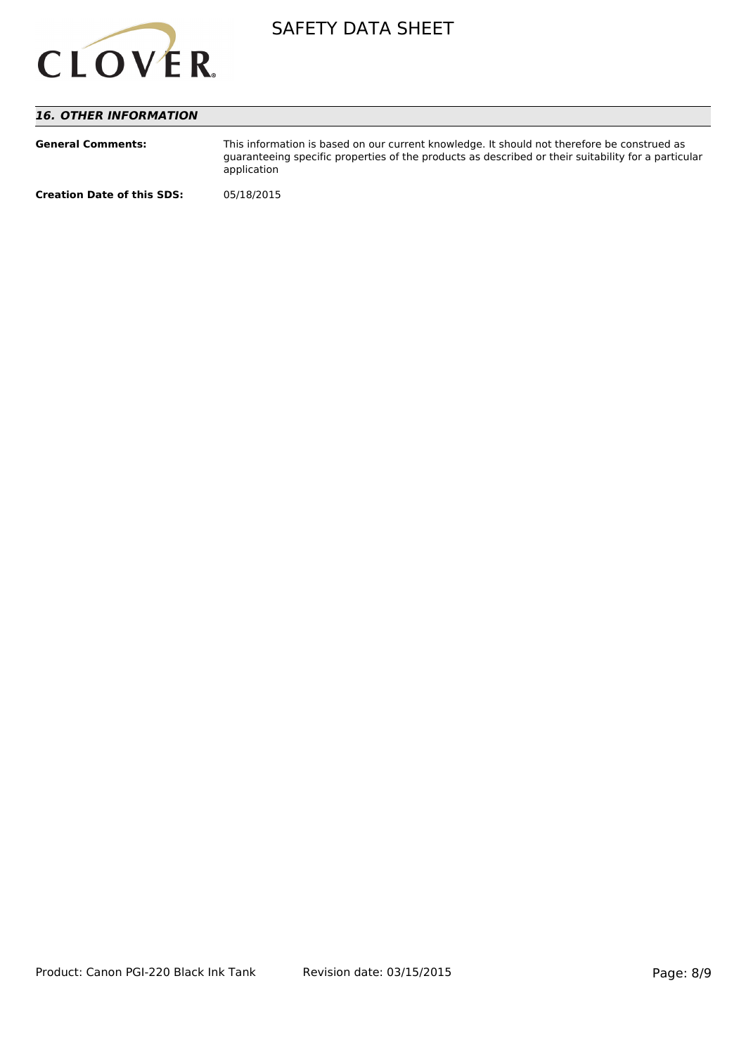

# *16. OTHER INFORMATION*

| <b>General Comments:</b>          | This information is based on our current knowledge. It should not therefore be construed as<br>quaranteeing specific properties of the products as described or their suitability for a particular<br>application |
|-----------------------------------|-------------------------------------------------------------------------------------------------------------------------------------------------------------------------------------------------------------------|
| <b>Creation Date of this SDS:</b> | 05/18/2015                                                                                                                                                                                                        |